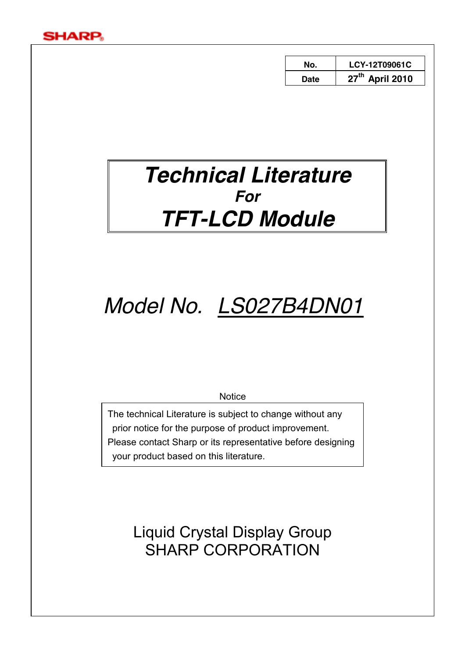

| No.  | LCY-12T09061C               |
|------|-----------------------------|
| Date | 27 <sup>th</sup> April 2010 |

## *Technical Literature For TFT-LCD Module*

# *Model No. LS027B4DN01*

**Notice** 

The technical Literature is subject to change without any prior notice for the purpose of product improvement. Please contact Sharp or its representative before designing your product based on this literature.

> Liquid Crystal Display Group SHARP CORPORATION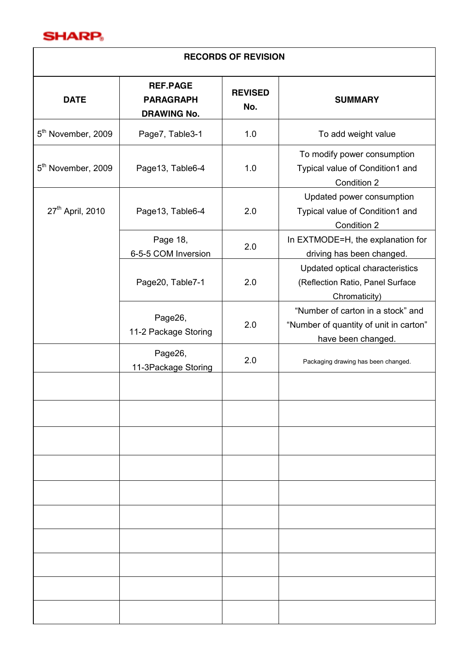

| <b>RECORDS OF REVISION</b>     |                                                           |                       |                                                                                                   |  |  |  |  |
|--------------------------------|-----------------------------------------------------------|-----------------------|---------------------------------------------------------------------------------------------------|--|--|--|--|
| <b>DATE</b>                    | <b>REF.PAGE</b><br><b>PARAGRAPH</b><br><b>DRAWING No.</b> | <b>REVISED</b><br>No. | <b>SUMMARY</b>                                                                                    |  |  |  |  |
| 5 <sup>th</sup> November, 2009 | Page7, Table3-1                                           | 1.0                   | To add weight value                                                                               |  |  |  |  |
| 5 <sup>th</sup> November, 2009 | Page13, Table6-4                                          | 1.0                   | To modify power consumption<br>Typical value of Condition1 and<br>Condition 2                     |  |  |  |  |
| 27 <sup>th</sup> April, 2010   | Page13, Table6-4                                          | 2.0                   | Updated power consumption<br>Typical value of Condition1 and<br>Condition 2                       |  |  |  |  |
|                                | Page 18,<br>6-5-5 COM Inversion                           | 2.0                   | In EXTMODE=H, the explanation for<br>driving has been changed.                                    |  |  |  |  |
|                                | Page20, Table7-1                                          | 2.0                   | Updated optical characteristics<br>(Reflection Ratio, Panel Surface<br>Chromaticity)              |  |  |  |  |
|                                | Page26,<br>11-2 Package Storing                           | 2.0                   | "Number of carton in a stock" and<br>"Number of quantity of unit in carton"<br>have been changed. |  |  |  |  |
|                                | Page26,<br>11-3Package Storing                            | 2.0                   | Packaging drawing has been changed.                                                               |  |  |  |  |
|                                |                                                           |                       |                                                                                                   |  |  |  |  |
|                                |                                                           |                       |                                                                                                   |  |  |  |  |
|                                |                                                           |                       |                                                                                                   |  |  |  |  |
|                                |                                                           |                       |                                                                                                   |  |  |  |  |
|                                |                                                           |                       |                                                                                                   |  |  |  |  |
|                                |                                                           |                       |                                                                                                   |  |  |  |  |
|                                |                                                           |                       |                                                                                                   |  |  |  |  |
|                                |                                                           |                       |                                                                                                   |  |  |  |  |
|                                |                                                           |                       |                                                                                                   |  |  |  |  |
|                                |                                                           |                       |                                                                                                   |  |  |  |  |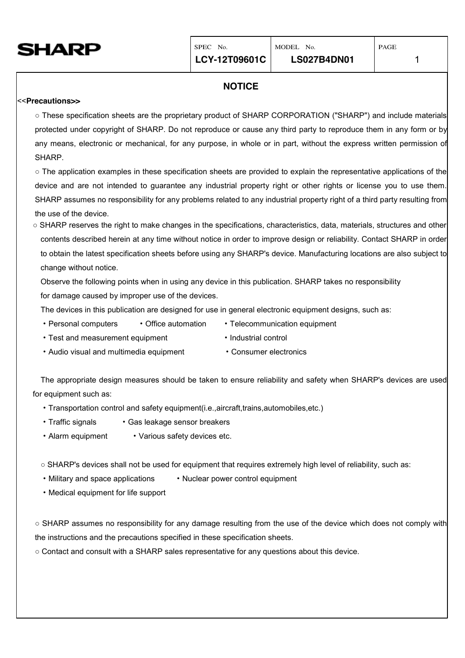

#### **NOTICE**

#### <<**Precautions>>**

o These specification sheets are the proprietary product of SHARP CORPORATION ("SHARP") and include materials protected under copyright of SHARP. Do not reproduce or cause any third party to reproduce them in any form or by any means, electronic or mechanical, for any purpose, in whole or in part, without the express written permission of SHARP.

 $\circ$  The application examples in these specification sheets are provided to explain the representative applications of the device and are not intended to guarantee any industrial property right or other rights or license you to use them. SHARP assumes no responsibility for any problems related to any industrial property right of a third party resulting from the use of the device.

ż SHARP reserves the right to make changes in the specifications, characteristics, data, materials, structures and other contents described herein at any time without notice in order to improve design or reliability. Contact SHARP in order to obtain the latest specification sheets before using any SHARP's device. Manufacturing locations are also subject to change without notice.

Observe the following points when in using any device in this publication. SHARP takes no responsibility for damage caused by improper use of the devices.

The devices in this publication are designed for use in general electronic equipment designs, such as:

- Personal computers Office automation Telecommunication equipment
- 
- Test and measurement equipment Industrial control
	-
- Audio visual and multimedia equipment Consumer electronics

The appropriate design measures should be taken to ensure reliability and safety when SHARP's devices are used for equipment such as:

- ・Transportation control and safety equipment(i.e.,aircraft,trains,automobiles,etc.)
- Traffic signals Gas leakage sensor breakers
- Alarm equipment Various safety devices etc.

○ SHARP's devices shall not be used for equipment that requires extremely high level of reliability, such as:

- Military and space applications Nuclear power control equipment
- ・Medical equipment for life support

ż SHARP assumes no responsibility for any damage resulting from the use of the device which does not comply with the instructions and the precautions specified in these specification sheets.

o Contact and consult with a SHARP sales representative for any questions about this device.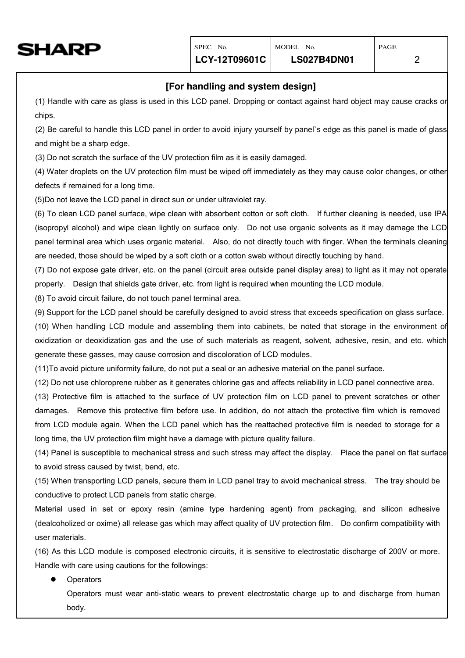

#### **[For handling and system design]**

(1) Handle with care as glass is used in this LCD panel. Dropping or contact against hard object may cause cracks or chips.

(2) Be careful to handle this LCD panel in order to avoid injury yourself by panel`s edge as this panel is made of glass and might be a sharp edge.

(3) Do not scratch the surface of the UV protection film as it is easily damaged.

(4) Water droplets on the UV protection film must be wiped off immediately as they may cause color changes, or other defects if remained for a long time.

(5)Do not leave the LCD panel in direct sun or under ultraviolet ray.

(6) To clean LCD panel surface, wipe clean with absorbent cotton or soft cloth. If further cleaning is needed, use IPA (isopropyl alcohol) and wipe clean lightly on surface only. Do not use organic solvents as it may damage the LCD panel terminal area which uses organic material. Also, do not directly touch with finger. When the terminals cleaning are needed, those should be wiped by a soft cloth or a cotton swab without directly touching by hand.

(7) Do not expose gate driver, etc. on the panel (circuit area outside panel display area) to light as it may not operate properly. Design that shields gate driver, etc. from light is required when mounting the LCD module.

(8) To avoid circuit failure, do not touch panel terminal area.

(9) Support for the LCD panel should be carefully designed to avoid stress that exceeds specification on glass surface.

(10) When handling LCD module and assembling them into cabinets, be noted that storage in the environment of oxidization or deoxidization gas and the use of such materials as reagent, solvent, adhesive, resin, and etc. which generate these gasses, may cause corrosion and discoloration of LCD modules.

(11)To avoid picture uniformity failure, do not put a seal or an adhesive material on the panel surface.

(12) Do not use chloroprene rubber as it generates chlorine gas and affects reliability in LCD panel connective area.

(13) Protective film is attached to the surface of UV protection film on LCD panel to prevent scratches or other damages. Remove this protective film before use. In addition, do not attach the protective film which is removed from LCD module again. When the LCD panel which has the reattached protective film is needed to storage for a long time, the UV protection film might have a damage with picture quality failure.

(14) Panel is susceptible to mechanical stress and such stress may affect the display. Place the panel on flat surface to avoid stress caused by twist, bend, etc.

(15) When transporting LCD panels, secure them in LCD panel tray to avoid mechanical stress. The tray should be conductive to protect LCD panels from static charge.

Material used in set or epoxy resin (amine type hardening agent) from packaging, and silicon adhesive (dealcoholized or oxime) all release gas which may affect quality of UV protection film. Do confirm compatibility with user materials.

(16) As this LCD module is composed electronic circuits, it is sensitive to electrostatic discharge of 200V or more. Handle with care using cautions for the followings:

**Operators** 

Operators must wear anti-static wears to prevent electrostatic charge up to and discharge from human body.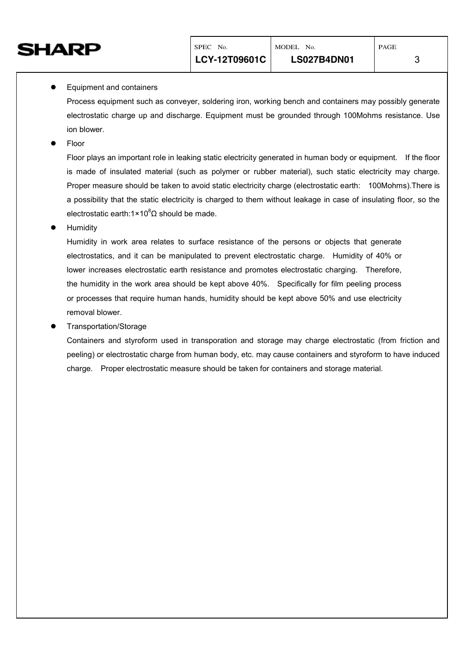

#### Equipment and containers

Process equipment such as conveyer, soldering iron, working bench and containers may possibly generate electrostatic charge up and discharge. Equipment must be grounded through 100Mohms resistance. Use ion blower.

Floor

Floor plays an important role in leaking static electricity generated in human body or equipment. If the floor is made of insulated material (such as polymer or rubber material), such static electricity may charge. Proper measure should be taken to avoid static electricity charge (electrostatic earth: 100Mohms).There is a possibility that the static electricity is charged to them without leakage in case of insulating floor, so the electrostatic earth:1×10 ${}^{8}$  $\Omega$  should be made.

Humidity

Humidity in work area relates to surface resistance of the persons or objects that generate electrostatics, and it can be manipulated to prevent electrostatic charge. Humidity of 40% or lower increases electrostatic earth resistance and promotes electrostatic charging. Therefore, the humidity in the work area should be kept above 40%. Specifically for film peeling process or processes that require human hands, humidity should be kept above 50% and use electricity removal blower.

#### z Transportation/Storage

Containers and styroform used in transporation and storage may charge electrostatic (from friction and peeling) or electrostatic charge from human body, etc. may cause containers and styroform to have induced charge. Proper electrostatic measure should be taken for containers and storage material.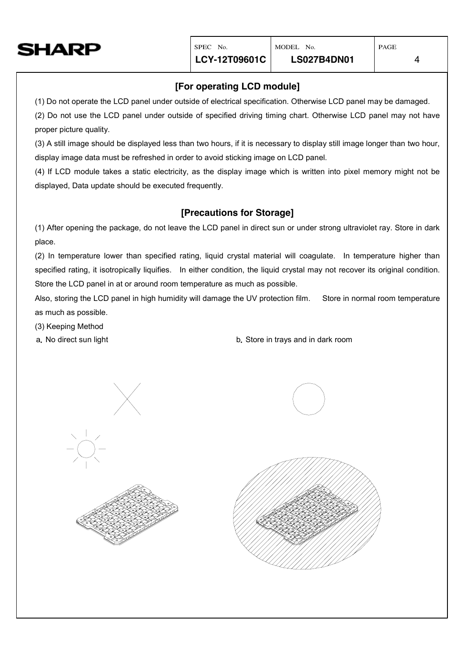

#### **[For operating LCD module]**

(1) Do not operate the LCD panel under outside of electrical specification. Otherwise LCD panel may be damaged. (2) Do not use the LCD panel under outside of specified driving timing chart. Otherwise LCD panel may not have proper picture quality.

(3) A still image should be displayed less than two hours, if it is necessary to display still image longer than two hour, display image data must be refreshed in order to avoid sticking image on LCD panel.

(4) If LCD module takes a static electricity, as the display image which is written into pixel memory might not be displayed, Data update should be executed frequently.

#### **[Precautions for Storage]**

(1) After opening the package, do not leave the LCD panel in direct sun or under strong ultraviolet ray. Store in dark place.

(2) In temperature lower than specified rating, liquid crystal material will coagulate. In temperature higher than specified rating, it isotropically liquifies. In either condition, the liquid crystal may not recover its original condition. Store the LCD panel in at or around room temperature as much as possible.

Also, storing the LCD panel in high humidity will damage the UV protection film. Store in normal room temperature as much as possible.

(3) Keeping Method

a.No direct sun light b.Store in trays and in dark room





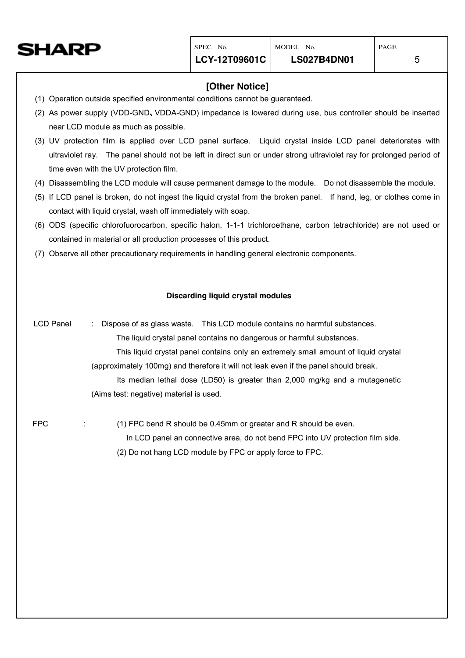

#### **[Other Notice]**

- (1) Operation outside specified environmental conditions cannot be guaranteed.
- (2) As power supply (VDD-GND、VDDA-GND) impedance is lowered during use, bus controller should be inserted near LCD module as much as possible.
- (3) UV protection film is applied over LCD panel surface. Liquid crystal inside LCD panel deteriorates with ultraviolet ray. The panel should not be left in direct sun or under strong ultraviolet ray for prolonged period of time even with the UV protection film.
- (4) Disassembling the LCD module will cause permanent damage to the module. Do not disassemble the module.
- (5) If LCD panel is broken, do not ingest the liquid crystal from the broken panel. If hand, leg, or clothes come in contact with liquid crystal, wash off immediately with soap.
- (6) ODS (specific chlorofuorocarbon, specific halon, 1-1-1 trichloroethane, carbon tetrachloride) are not used or contained in material or all production processes of this product.
- (7) Observe all other precautionary requirements in handling general electronic components.

#### **Discarding liquid crystal modules**

LCD Panel : Dispose of as glass waste. This LCD module contains no harmful substances. The liquid crystal panel contains no dangerous or harmful substances. This liquid crystal panel contains only an extremely small amount of liquid crystal (approximately 100mg) and therefore it will not leak even if the panel should break. Its median lethal dose (LD50) is greater than 2,000 mg/kg and a mutagenetic (Aims test: negative) material is used. FPC : (1) FPC bend R should be 0.45mm or greater and R should be even.

> In LCD panel an connective area, do not bend FPC into UV protection film side. (2) Do not hang LCD module by FPC or apply force to FPC.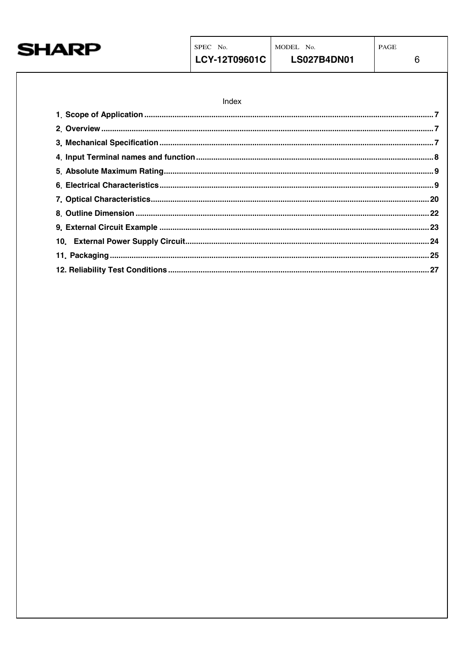

 $\,6\,$ 

| Index |  |
|-------|--|
|       |  |
|       |  |
|       |  |
|       |  |
|       |  |
|       |  |
|       |  |
|       |  |
|       |  |
|       |  |
|       |  |
|       |  |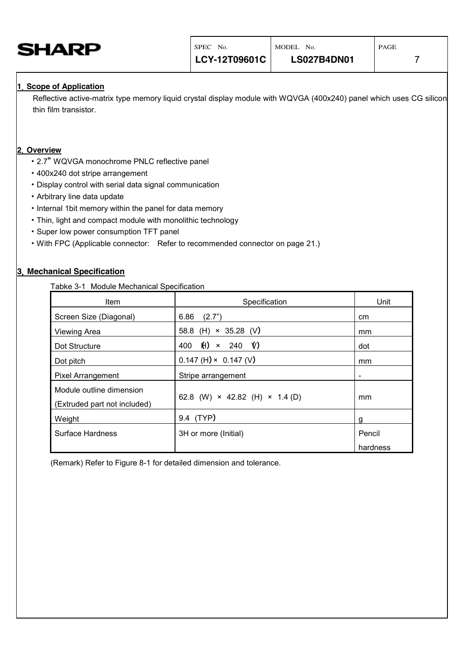<span id="page-8-0"></span>

#### **1**.**Scope of Application**

Reflective active-matrix type memory liquid crystal display module with WQVGA (400x240) panel which uses CG silicon thin film transistor.

#### **2**.**Overview**

- ・ 2.7" WQVGA monochrome PNLC reflective panel
- ・ 400x240 dot stripe arrangement
- ・ Display control with serial data signal communication
- ・ Arbitrary line data update
- ・ Internal 1bit memory within the panel for data memory
- ・ Thin, light and compact module with monolithic technology
- ・ Super low power consumption TFT panel
- ・ With FPC (Applicable connector: Refer to recommended connector on page 21.)

#### **3**.**Mechanical Specification**

Tabke 3-1 Module Mechanical Specification

| Item                                                     | Specification                                | Unit               |
|----------------------------------------------------------|----------------------------------------------|--------------------|
| Screen Size (Diagonal)                                   | 6.86<br>(2.7")                               | <sub>cm</sub>      |
| Viewing Area                                             | 58.8 (H) $\times$ 35.28 (V)                  | mm                 |
| Dot Structure                                            | H)<br>$\mathsf{V}$<br>$\times$ 240<br>400    | dot                |
| Dot pitch                                                | $0.147$ (H) $\times$ 0.147 (V)               | mm                 |
| <b>Pixel Arrangement</b>                                 | Stripe arrangement                           | -                  |
| Module outline dimension<br>(Extruded part not included) | 62.8 (W) $\times$ 42.82 (H) $\times$ 1.4 (D) | mm                 |
| Weight                                                   | 9.4 (TYP)                                    | g                  |
| Surface Hardness                                         | 3H or more (Initial)                         | Pencil<br>hardness |

(Remark) Refer to Figure 8-1 for detailed dimension and tolerance.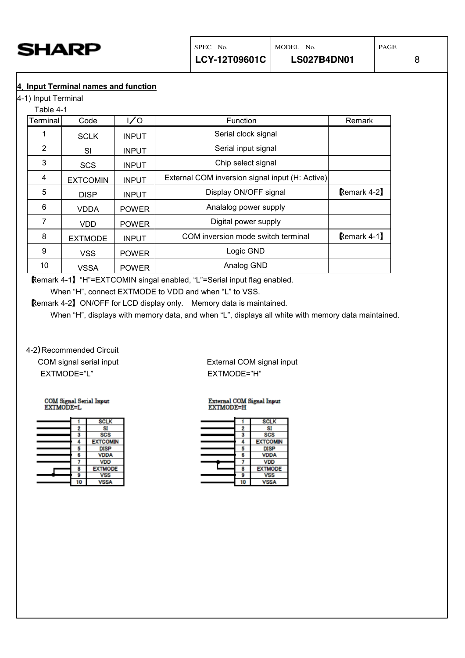<span id="page-9-0"></span>

**4**.**Input Terminal names and function**

4-1) Input Terminal

| Table 4-1 |                 |              |                                                 |             |
|-----------|-----------------|--------------|-------------------------------------------------|-------------|
| Terminal  | Code            | 1/0          | <b>Function</b>                                 | Remark      |
|           | <b>SCLK</b>     | <b>INPUT</b> | Serial clock signal                             |             |
| 2         | <b>SI</b>       | <b>INPUT</b> | Serial input signal                             |             |
| 3         | <b>SCS</b>      | <b>INPUT</b> | Chip select signal                              |             |
| 4         | <b>EXTCOMIN</b> | <b>INPUT</b> | External COM inversion signal input (H: Active) |             |
| 5         | <b>DISP</b>     | <b>INPUT</b> | Display ON/OFF signal                           | Remark 4-2] |
| 6         | VDDA            | <b>POWER</b> | Analalog power supply                           |             |
| 7         | <b>VDD</b>      | <b>POWER</b> | Digital power supply                            |             |
| 8         | <b>EXTMODE</b>  | <b>INPUT</b> | COM inversion mode switch terminal              | Remark 4-1] |
| 9         | <b>VSS</b>      | <b>POWER</b> | Logic GND                                       |             |
| 10        | <b>VSSA</b>     | <b>POWER</b> | Analog GND                                      |             |

【Remark 4-1】"H"=EXTCOMIN singal enabled, "L"=Serial input flag enabled. When "H", connect EXTMODE to VDD and when "L" to VSS.

【Remark 4-2】 ON/OFF for LCD display only. Memory data is maintained.

When "H", displays with memory data, and when "L", displays all white with memory data maintained.

4-2)Recommended Circuit EXTMODE="L" EXTMODE="H"

COM Signal Serial Input<br>EXTMODE=L

|  | <b>SCLK</b>     |
|--|-----------------|
|  |                 |
|  | <b>SCS</b>      |
|  | <b>EXTCOMIN</b> |
|  | <b>DISP</b>     |
|  | VDDA            |
|  | <b>VDD</b>      |
|  | <b>EXTMODE</b>  |
|  | vss             |
|  |                 |

COM signal serial input External COM signal input

### External COM Signal Input<br>EXTMODE=H

|   | <b>SCLK</b>     |
|---|-----------------|
|   |                 |
|   | <b>SCS</b>      |
|   | <b>EXTCOMIN</b> |
|   | <b>DISP</b>     |
|   | <b>VDDA</b>     |
|   | <b>VDD</b>      |
| F | <b>EXTMODE</b>  |
|   | /SS             |
|   | /SSA            |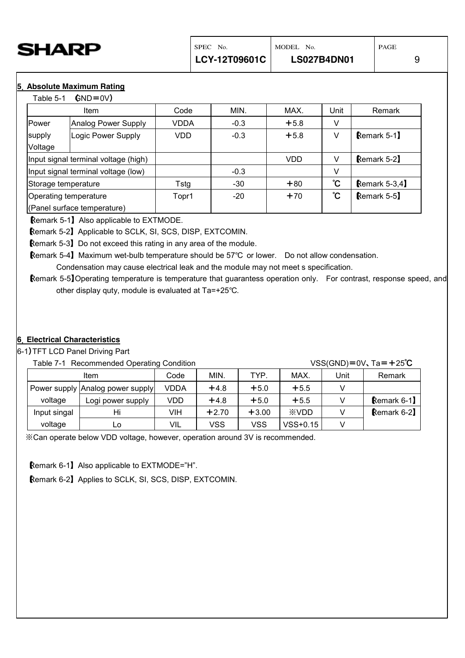<span id="page-10-0"></span>

#### **5**.**Absolute Maximum Rating**

 $Table 5-1$   $\triangle NDE = N/1$ 

| able 5-1                            | $UIV-UVI$                            |       |        |            |      |                |
|-------------------------------------|--------------------------------------|-------|--------|------------|------|----------------|
|                                     | Item                                 | Code  | MIN.   | MAX.       | Unit | Remark         |
| Power                               | Analog Power Supply                  | VDDA  | $-0.3$ | $+5.8$     | V    |                |
| supply<br>Voltage                   | Logic Power Supply                   | VDD   | $-0.3$ | $+5.8$     | v    | Remark 5-1     |
|                                     | Input signal terminal voltage (high) |       |        | <b>VDD</b> | V    | Remark 5-2     |
| Input signal terminal voltage (low) |                                      |       | $-0.3$ |            | V    |                |
| Storage temperature                 |                                      | Tstg  | -30    | $+80$      | ĈС   | Remark $5-3,4$ |
| Operating temperature               |                                      | Topr1 | $-20$  | $+70$      | ĈС   | Remark 5-5     |
|                                     | (Panel surface temperature)          |       |        |            |      |                |

【Remark 5-1】 Also applicable to EXTMODE.

【Remark 5-2】 Applicable to SCLK, SI, SCS, DISP, EXTCOMIN.

【Remark 5-3】 Do not exceed this rating in any area of the module.

**Remark 5-4】 Maximum wet-bulb temperature should be 57°C or lower.** Do not allow condensation.

Condensation may cause electrical leak and the module may not meet s specification.

【Remark 5-5】Operating temperature is temperature that guarantess operation only. For contrast, response speed, and other display quty, module is evaluated at  $Ta=+25^{\circ}C$ .

#### **6**.**Electrical Characteristics**

6-1)TFT LCD Panel Driving Part

Table 7-1 Recommended Operating Condition VSS(GND)=0V, Ta=+25℃

|              | $\alpha$ able $\beta$ - $\alpha$ . Recommended Operating Condition $\alpha$ |             |         |         |             |      | $\sqrt{33(9)}$ |
|--------------|-----------------------------------------------------------------------------|-------------|---------|---------|-------------|------|----------------|
|              | Item                                                                        | Code        | MIN.    | TYP.    | MAX.        | Unit | Remark         |
|              | Power supply Analog power supply                                            | <b>VDDA</b> | $+4.8$  | $+5.0$  | $+5.5$      |      |                |
| voltage      | Logi power supply                                                           | VDD         | $+4.8$  | $+5.0$  | $+5.5$      |      | Remark $6-1$ ] |
| Input singal | Hi                                                                          | VIH         | $+2.70$ | $+3.00$ | <b>XVDD</b> |      | Remark 6-2     |
| voltage      | Lo                                                                          | VIL         | vss     | vss     | $VSS+0.15$  |      |                |

※Can operate below VDD voltage, however, operation around 3V is recommended.

【Remark 6-1】 Also applicable to EXTMODE="H".

【Remark 6-2】 Applies to SCLK, SI, SCS, DISP, EXTCOMIN.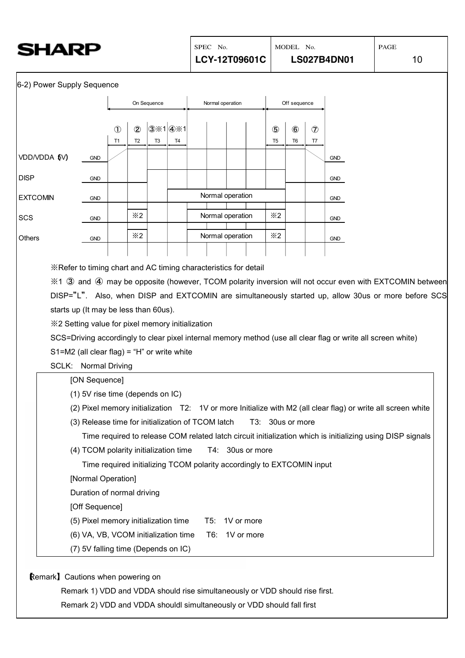| <b>SHARP</b> |
|--------------|
|--------------|

6-2) Power Supply Sequence



[Off Sequence]

(5) Pixel memory initialization time T5: 1V or more

- (6) VA, VB, VCOM initialization time T6: 1V or more
- (7) 5V falling time (Depends on IC)

【Remark】Cautions when powering on

Remark 1) VDD and VDDA should rise simultaneously or VDD should rise first.

Remark 2) VDD and VDDA shouldl simultaneously or VDD should fall first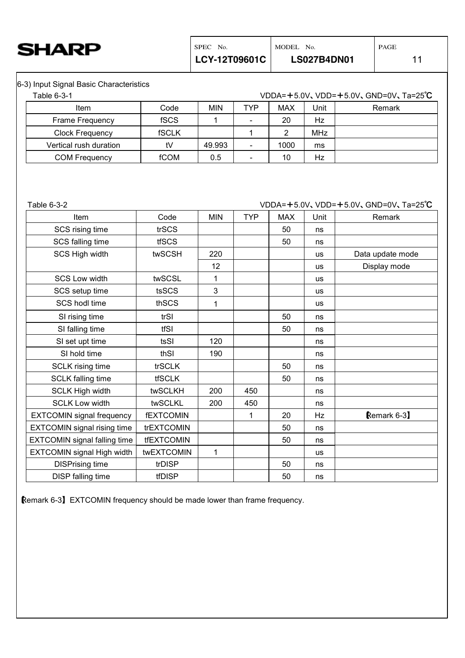6-3) Input Signal Basic Characteristics

| Table 6-3-1            |              |            |            |            |            | VDDA= $+5.0V$ , VDD= $+5.0V$ , GND=0V, Ta=25°C |
|------------------------|--------------|------------|------------|------------|------------|------------------------------------------------|
| Item                   | Code         | <b>MIN</b> | <b>TYP</b> | <b>MAX</b> | Unit       | Remark                                         |
| <b>Frame Frequency</b> | <b>fSCS</b>  |            |            | 20         | Hz         |                                                |
| <b>Clock Frequency</b> | <b>fSCLK</b> |            |            | ົ          | <b>MHz</b> |                                                |
| Vertical rush duration | tV           | 49.993     |            | 1000       | ms         |                                                |
| <b>COM Frequency</b>   | fCOM         | 0.5        |            | 10         | Hz         |                                                |

Table 6-3-2 VDDA=+5.0V、VDD=+5.0V、GND=0V、Ta=25℃

| Item                                | Code              | <b>MIN</b> | <b>TYP</b> | <b>MAX</b> | Unit      | Remark           |
|-------------------------------------|-------------------|------------|------------|------------|-----------|------------------|
| SCS rising time                     | trSCS             |            |            | 50         | ns        |                  |
| SCS falling time                    | tfSCS             |            |            | 50         | ns        |                  |
| SCS High width                      | twSCSH            | 220        |            |            | <b>us</b> | Data update mode |
|                                     |                   | 12         |            |            | <b>US</b> | Display mode     |
| <b>SCS Low width</b>                | twSCSL            | 1          |            |            | <b>US</b> |                  |
| SCS setup time                      | tsSCS             | 3          |            |            | <b>us</b> |                  |
| SCS hodl time                       | thSCS             | 1          |            |            | <b>us</b> |                  |
| SI rising time                      | trSI              |            |            | 50         | ns        |                  |
| SI falling time                     | tfSI              |            |            | 50         | ns        |                  |
| SI set upt time                     | tsSI              | 120        |            |            | ns        |                  |
| SI hold time                        | thSI              | 190        |            |            | ns        |                  |
| <b>SCLK</b> rising time             | trSCLK            |            |            | 50         | ns        |                  |
| <b>SCLK falling time</b>            | <b>tfSCLK</b>     |            |            | 50         | ns        |                  |
| <b>SCLK High width</b>              | twSCLKH           | 200        | 450        |            | ns        |                  |
| <b>SCLK Low width</b>               | twSCLKL           | 200        | 450        |            | ns        |                  |
| <b>EXTCOMIN</b> signal frequency    | <b>fEXTCOMIN</b>  |            | 1          | 20         | Hz        | Remark 6-3       |
| <b>EXTCOMIN</b> signal rising time  | trEXTCOMIN        |            |            | 50         | ns        |                  |
| <b>EXTCOMIN signal falling time</b> | <b>tfEXTCOMIN</b> |            |            | 50         | ns        |                  |
| <b>EXTCOMIN signal High width</b>   | twEXTCOMIN        | 1          |            |            | <b>US</b> |                  |
| <b>DISPrising time</b>              | trDISP            |            |            | 50         | ns        |                  |
| DISP falling time                   | tfDISP            |            |            | 50         | ns        |                  |

【Remark 6-3】 EXTCOMIN frequency should be made lower than frame frequency.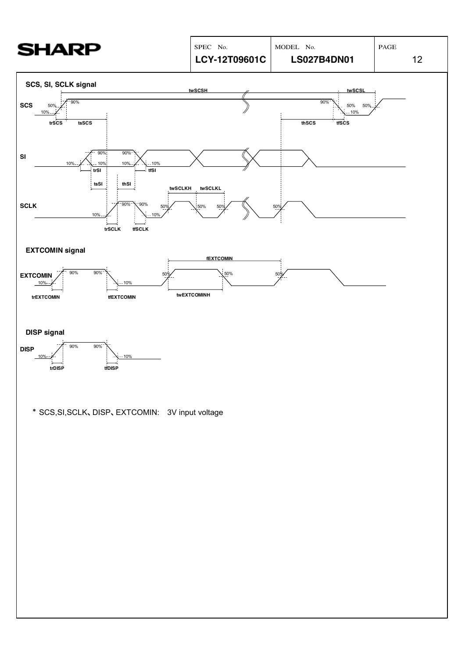| <b>SHARP</b>                                                                                             | SPEC No.                               | MODEL No.                                       | $\mathbf{PAGE}$ |
|----------------------------------------------------------------------------------------------------------|----------------------------------------|-------------------------------------------------|-----------------|
|                                                                                                          | LCY-12T09601C                          | <b>LS027B4DN01</b>                              | 12              |
| SCS, SI, SCLK signal                                                                                     | twSCSH                                 | twSCSL                                          |                 |
| 90%<br><b>SCS</b><br>50%<br>10%<br>trSCS<br>tsSCS                                                        |                                        | 90%<br>50%<br>50%<br>$-10%$<br>$thscs$<br>tfSCS |                 |
| 90%<br>90%<br>SI<br>10%<br>10%<br>10%<br>$-10%$<br>tfSI<br>trSI<br>tsSI<br>thSI                          | twSCLKH<br>twSCLKL                     |                                                 |                 |
| 90%<br>$-90%$<br><b>SCLK</b><br>50%<br>$10%$ .<br>$-10%$<br>trSCLK<br>tfSCLK                             | 50%<br>50%                             | 50%                                             |                 |
| <b>EXTCOMIN signal</b>                                                                                   |                                        |                                                 |                 |
| $90\%$<br>90%<br>50 <sub>2</sub><br><b>EXTCOMIN</b><br>10%<br>$10% -$<br>trEXTCOMIN<br><b>tfEXTCOMIN</b> | <b>fEXTCOMIN</b><br>50%<br>twEXTCOMINH | 50%                                             |                 |
| <b>DISP signal</b>                                                                                       |                                        |                                                 |                 |
| 90%<br>90%<br><b>DISP</b><br>10%<br>10%<br>trDISP<br>tfDISP                                              |                                        |                                                 |                 |
| * SCS, SI, SCLK, DISP, EXTCOMIN: 3V input voltage                                                        |                                        |                                                 |                 |
|                                                                                                          |                                        |                                                 |                 |
|                                                                                                          |                                        |                                                 |                 |
|                                                                                                          |                                        |                                                 |                 |
|                                                                                                          |                                        |                                                 |                 |
|                                                                                                          |                                        |                                                 |                 |
|                                                                                                          |                                        |                                                 |                 |
|                                                                                                          |                                        |                                                 |                 |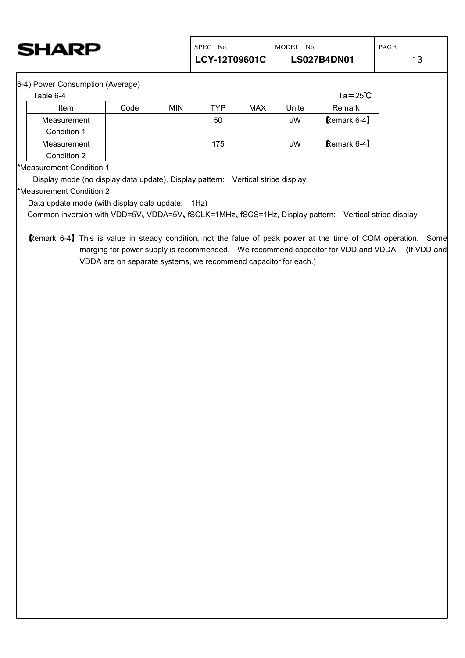

6-4) Power Consumption (Average)

| Table 6-4   |      |     |     |     |       | $Ta = 25^{\circ}C$ |
|-------------|------|-----|-----|-----|-------|--------------------|
| <b>Item</b> | Code | MIN | TYP | MAX | Unite | Remark             |
| Measurement |      |     | 50  |     | uW    | Remark 6-4         |
| Condition 1 |      |     |     |     |       |                    |
| Measurement |      |     | 175 |     | uW    | Remark 6-4         |
| Condition 2 |      |     |     |     |       |                    |

\*Measurement Condition 1

Display mode (no display data update), Display pattern: Vertical stripe display

\*Measurement Condition 2

Data update mode (with display data update: 1Hz)

Common inversion with VDD=5V、VDDA=5V、fSCLK=1MHz、fSCS=1Hz, Display pattern: Vertical stripe display

【Remark 6-4】 This is value in steady condition, not the falue of peak power at the time of COM operation. Some marging for power supply is recommended. We recommend capacitor for VDD and VDDA. (If VDD and VDDA are on separate systems, we recommend capacitor for each.)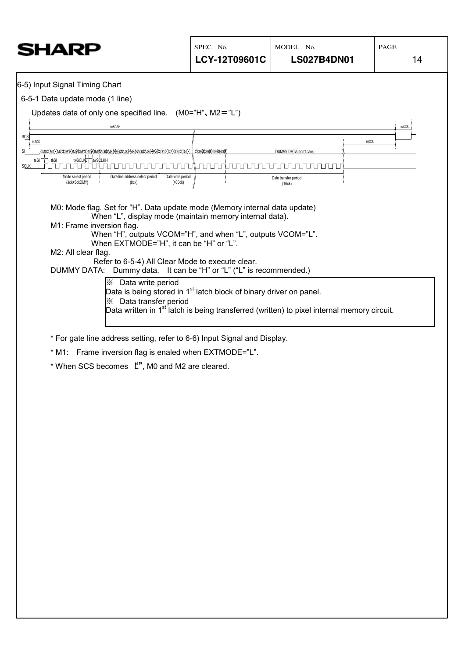| 6-5) Input Signal Timing Chart                                                                                                                                                                                                                                                                                                                                                                                                                                                                                                                  |        |
|-------------------------------------------------------------------------------------------------------------------------------------------------------------------------------------------------------------------------------------------------------------------------------------------------------------------------------------------------------------------------------------------------------------------------------------------------------------------------------------------------------------------------------------------------|--------|
|                                                                                                                                                                                                                                                                                                                                                                                                                                                                                                                                                 |        |
| 6-5-1 Data update mode (1 line)                                                                                                                                                                                                                                                                                                                                                                                                                                                                                                                 |        |
| Updates data of only one specified line. $(M0='H", M2='L")$                                                                                                                                                                                                                                                                                                                                                                                                                                                                                     |        |
| twSCSH                                                                                                                                                                                                                                                                                                                                                                                                                                                                                                                                          | twSCSL |
| SCS<br>thSCS<br>tsSCS                                                                                                                                                                                                                                                                                                                                                                                                                                                                                                                           |        |
| <u>WDXMIXW2AWAAWAWAWAWXGAGAGAGAGAGAGAGAA XDIXD3XD4X#X39X39X39X40X</u><br>SI<br>DUMMY DATA(don't care)<br>twSCLKL twSCLKH<br>tsSI:<br>$\top$ thSI                                                                                                                                                                                                                                                                                                                                                                                                |        |
| <b>SCLK</b><br>חת חת ר<br>Gate line address select period<br>Date write period<br>Mode select period<br>Date transfer period                                                                                                                                                                                                                                                                                                                                                                                                                    |        |
| (3ck+5ckDMY)<br>(400ck)<br>(8ck)<br>(16ck)                                                                                                                                                                                                                                                                                                                                                                                                                                                                                                      |        |
| M0: Mode flag. Set for "H". Data update mode (Memory internal data update)<br>When "L", display mode (maintain memory internal data).<br>M1: Frame inversion flag.<br>When "H", outputs VCOM="H", and when "L", outputs VCOM="L".<br>When EXTMODE="H", it can be "H" or "L".<br>M2: All clear flag.<br>Refer to 6-5-4) All Clear Mode to execute clear.<br>DUMMY DATA: Dummy data. It can be "H" or "L" ("L" is recommended.)<br>  implied: Data write period<br>Data is being stored in 1 <sup>st</sup> latch block of binary driver on panel. |        |
| <b>X</b> Data transfer period<br>Data written in 1 <sup>st</sup> latch is being transferred (written) to pixel internal memory circuit.                                                                                                                                                                                                                                                                                                                                                                                                         |        |
|                                                                                                                                                                                                                                                                                                                                                                                                                                                                                                                                                 |        |
| * For gate line address setting, refer to 6-6) Input Signal and Display.                                                                                                                                                                                                                                                                                                                                                                                                                                                                        |        |
| * M1: Frame inversion flag is enaled when EXTMODE="L".                                                                                                                                                                                                                                                                                                                                                                                                                                                                                          |        |
| * When SCS becomes L", M0 and M2 are cleared.                                                                                                                                                                                                                                                                                                                                                                                                                                                                                                   |        |
|                                                                                                                                                                                                                                                                                                                                                                                                                                                                                                                                                 |        |
|                                                                                                                                                                                                                                                                                                                                                                                                                                                                                                                                                 |        |
|                                                                                                                                                                                                                                                                                                                                                                                                                                                                                                                                                 |        |
|                                                                                                                                                                                                                                                                                                                                                                                                                                                                                                                                                 |        |
|                                                                                                                                                                                                                                                                                                                                                                                                                                                                                                                                                 |        |
|                                                                                                                                                                                                                                                                                                                                                                                                                                                                                                                                                 |        |
|                                                                                                                                                                                                                                                                                                                                                                                                                                                                                                                                                 |        |
|                                                                                                                                                                                                                                                                                                                                                                                                                                                                                                                                                 |        |
|                                                                                                                                                                                                                                                                                                                                                                                                                                                                                                                                                 |        |
|                                                                                                                                                                                                                                                                                                                                                                                                                                                                                                                                                 |        |
|                                                                                                                                                                                                                                                                                                                                                                                                                                                                                                                                                 |        |
|                                                                                                                                                                                                                                                                                                                                                                                                                                                                                                                                                 |        |
|                                                                                                                                                                                                                                                                                                                                                                                                                                                                                                                                                 |        |
|                                                                                                                                                                                                                                                                                                                                                                                                                                                                                                                                                 |        |
|                                                                                                                                                                                                                                                                                                                                                                                                                                                                                                                                                 |        |
|                                                                                                                                                                                                                                                                                                                                                                                                                                                                                                                                                 |        |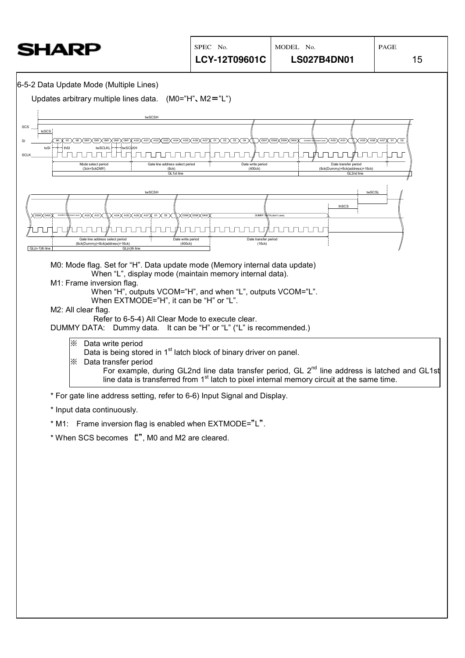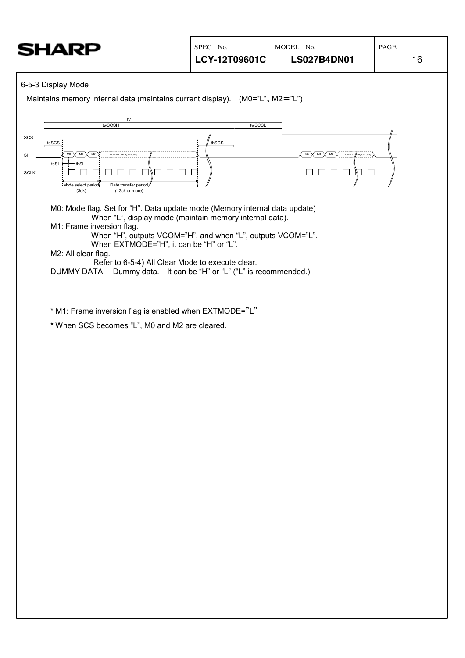#### 6-5-3 Display Mode

Maintains memory internal data (maintains current display).  $(M0="L", M2="L")$ 

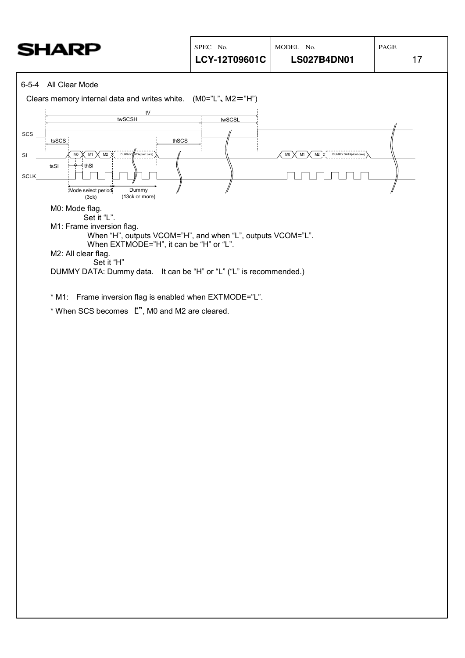| SHARP                                                                                                  | SPEC No.<br>LCY-12T09601C | MODEL No.<br><b>LS027B4DN01</b>                        | $\mathop{\mathrm{PAGE}}$<br>17 |
|--------------------------------------------------------------------------------------------------------|---------------------------|--------------------------------------------------------|--------------------------------|
| 6-5-4 All Clear Mode                                                                                   |                           |                                                        |                                |
| Clears memory internal data and writes white. $(M0="L", M2="H")$                                       |                           |                                                        |                                |
| ${\sf t}{\sf V}$<br>twSCSH                                                                             | twSCSL                    |                                                        |                                |
| SCS<br>tsSCS<br>thSCS                                                                                  |                           |                                                        |                                |
| $\mathsf{M}0$<br>M1<br>M2<br><b>DUMMY</b><br>ATA(don't care)<br>SI                                     |                           | M1<br>M <sub>0</sub><br>M2 X<br>DUMMY DATA(don't care) |                                |
| * thSI<br>tsSI<br>SCLK                                                                                 |                           |                                                        |                                |
| Dummy<br>Mode select period<br>(13ck or more)<br>(3ck)                                                 |                           |                                                        |                                |
| M0: Mode flag.                                                                                         |                           |                                                        |                                |
| Set it "L".<br>M1: Frame inversion flag.                                                               |                           |                                                        |                                |
| When "H", outputs VCOM="H", and when "L", outputs VCOM="L".<br>When EXTMODE="H", it can be "H" or "L". |                           |                                                        |                                |
| M2: All clear flag.<br>Set it "H"                                                                      |                           |                                                        |                                |
| DUMMY DATA: Dummy data. It can be "H" or "L" ("L" is recommended.)                                     |                           |                                                        |                                |
| * M1: Frame inversion flag is enabled when EXTMODE="L".                                                |                           |                                                        |                                |
| * When SCS becomes L''', M0 and M2 are cleared.                                                        |                           |                                                        |                                |
|                                                                                                        |                           |                                                        |                                |
|                                                                                                        |                           |                                                        |                                |
|                                                                                                        |                           |                                                        |                                |
|                                                                                                        |                           |                                                        |                                |
|                                                                                                        |                           |                                                        |                                |
|                                                                                                        |                           |                                                        |                                |
|                                                                                                        |                           |                                                        |                                |
|                                                                                                        |                           |                                                        |                                |
|                                                                                                        |                           |                                                        |                                |
|                                                                                                        |                           |                                                        |                                |
|                                                                                                        |                           |                                                        |                                |
|                                                                                                        |                           |                                                        |                                |
|                                                                                                        |                           |                                                        |                                |
|                                                                                                        |                           |                                                        |                                |
|                                                                                                        |                           |                                                        |                                |
|                                                                                                        |                           |                                                        |                                |
|                                                                                                        |                           |                                                        |                                |
|                                                                                                        |                           |                                                        |                                |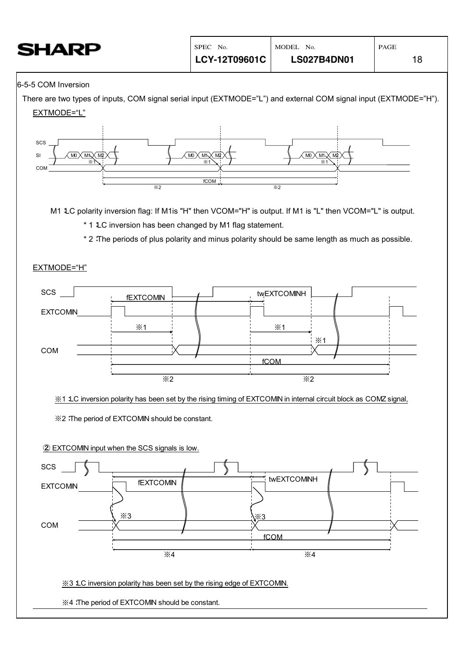| <b>SHARP</b>        | SPEC No.<br>LCY-12T09601C | MODEL No.<br><b>LS027B4DN01</b> | PAGE |
|---------------------|---------------------------|---------------------------------|------|
| 6-5-5 COM Inversion |                           |                                 |      |

#### 6-5-5 COM Inversion

There are two types of inputs, COM signal serial input (EXTMODE="L") and external COM signal input (EXTMODE="H"). EXTMODE="L"

18



M1 LC polarity inversion flag: If M1is "H" then VCOM="H" is output. If M1 is "L" then VCOM="L" is output.

\* 1 LC inversion has been changed by M1 flag statement.

\* 2:The periods of plus polarity and minus polarity should be same length as much as possible.

#### EXTMODE="H"



※1:LC inversion polarity has been set by the rising timing of EXTCOMIN in internal circuit block as COMZ signal,

※2:The period of EXTCOMIN should be constant.

② EXTCOMIN input when the SCS signals is low.

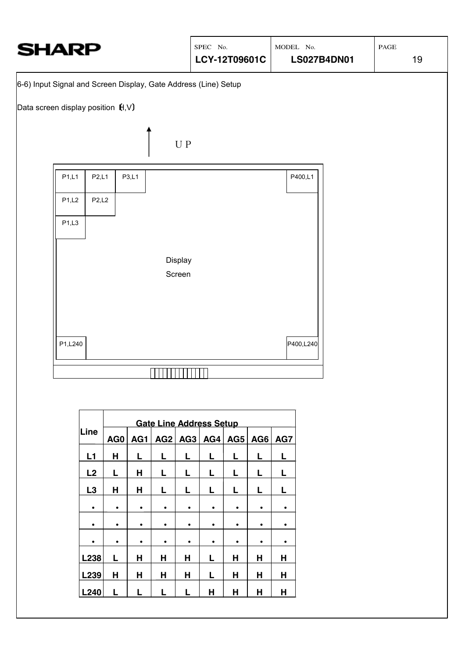

| AG0<br>AG1 | AG2    |        |        |        |             |             |
|------------|--------|--------|--------|--------|-------------|-------------|
|            |        | AG3    | AG4    | AG5    | AG6         | AG7         |
| L          |        |        | L      |        |             | L           |
| Н          | L      | L      |        |        |             | L           |
| Н          | L      | L      | L      |        |             | L           |
| ٠          | ٠      |        | ٠      | ٠      | ٠           | ٠           |
|            |        |        |        |        |             | ٠           |
| ٠          |        |        |        |        |             |             |
|            |        |        |        |        |             | H           |
|            |        |        |        |        |             | н           |
|            |        |        |        |        |             | Н           |
|            | Н<br>н | Н<br>н | Н<br>н | L<br>Н | Н<br>н<br>Н | H<br>н<br>Н |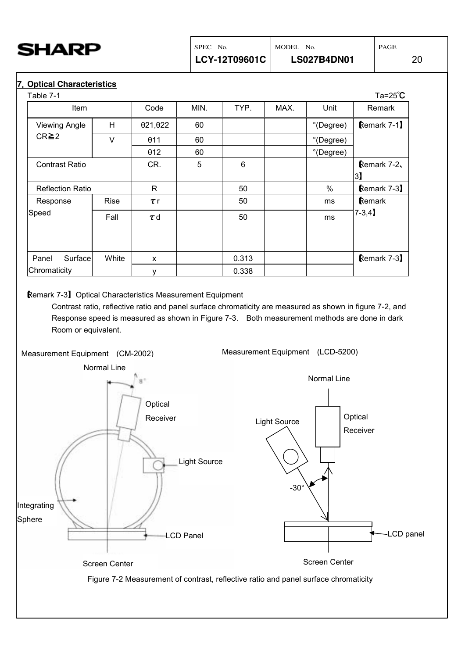<span id="page-21-0"></span>

#### **7**.**Optical Characteristics**

| Table 7-1               |        |          |      |       |      |               | $Ta=25^{\circ}C$ |
|-------------------------|--------|----------|------|-------|------|---------------|------------------|
| <b>Item</b>             |        | Code     | MIN. | TYP.  | MAX. | Unit          | Remark           |
| <b>Viewing Angle</b>    | H      | 021,022  | 60   |       |      | °(Degree)     | Remark 7-1]      |
| $CR \ge 2$              | $\vee$ | θ11      | 60   |       |      | °(Degree)     |                  |
|                         |        | 012      | 60   |       |      | °(Degree)     |                  |
| <b>Contrast Ratio</b>   |        | CR.      | 5    | 6     |      |               | Remark 7-2       |
|                         |        |          |      |       |      |               | $\vert$ 3)       |
| <b>Reflection Ratio</b> |        | R.       |      | 50    |      | $\frac{0}{0}$ | Remark 7-3       |
| Response                | Rise   | $\tau$ r |      | 50    |      | ms            | Remark           |
| Speed                   | Fall   | $\tau$ d |      | 50    |      | ms            | $7 - 3,4$        |
|                         |        |          |      |       |      |               |                  |
| Surface<br>Panel        | White  | X        |      | 0.313 |      |               | Remark 7-3       |
| Chromaticity            |        | у        |      | 0.338 |      |               |                  |

#### 【Remark 7-3】Optical Characteristics Measurement Equipment

Contrast ratio, reflective ratio and panel surface chromaticity are measured as shown in figure 7-2, and Response speed is measured as shown in Figure 7-3. Both measurement methods are done in dark Room or equivalent.

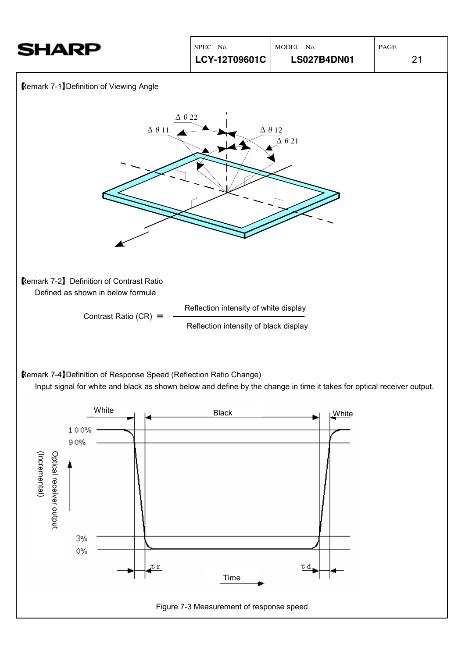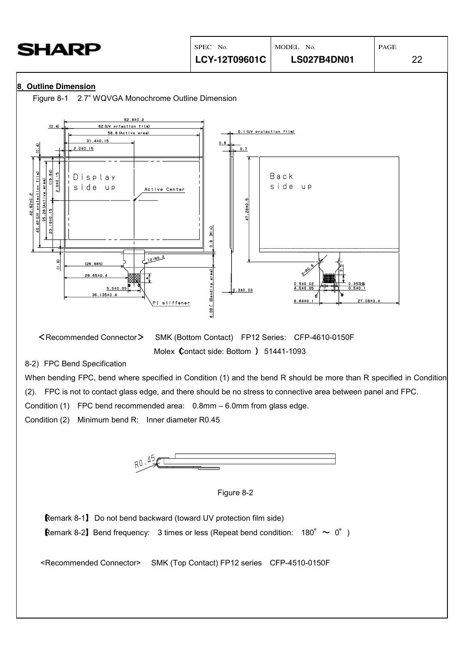<span id="page-23-0"></span>

| <b>SHARP</b>                                                                                                                                                  | SPEC No.<br>LCY-12T09601C               | MODEL No.<br><b>LS027B4DN01</b> | PAGE<br>22 |
|---------------------------------------------------------------------------------------------------------------------------------------------------------------|-----------------------------------------|---------------------------------|------------|
| 8. Outline Dimension<br>Figure 8-1 2.7" WQVGA Monochrome Outline Dimension<br>62.810.2                                                                        |                                         |                                 |            |
| (0.4)<br>62 (UV prtection film)<br>58.8 (Active erea)<br>$31.4 \pm 0.15$<br>의<br>2.010.15                                                                     | 0.1 (UV protection film)<br>0.6.<br>0.7 |                                 |            |
| (19.64)<br>protection film)<br>2.010.15<br>Display<br>35.28 (Active erea)<br>side up<br>Active Center<br>42.82±0.2<br>18±0.15<br>42 (UV<br>$\frac{3}{2}$<br>하 | 28±0.5<br>17.<br>$\frac{c}{2}$          | Back<br>side up                 |            |

 <Recommended Connector> SMK (Bottom Contact) FP12 Series: CFP-4610-0150F Molex Contact side: Bottom ) 51441-1093

8-2) FPC Bend Specification

 $(1.6)$ 

 $(26.665)$ 

28.65±0.4

 $5.510$ 

36 135±0 4

When bending FPC, bend where specified in Condition (1) and the bend R should be more than R specified in Condition

0.3±0.03

 $8.64 \pm 0$ 

 $7.08 \pm 0.4$ 

(2). FPC is not to contact glass edge, and there should be no stress to connective area between panel and FPC.

**B.** 06 ( (Bending eres)

Condition (1) FPC bend recommended area: 0.8mm – 6.0mm from glass edge.

 $12 - R0.2$ 

<sup>p</sup>I stiffener

Condition (2) Minimum bend R: Inner diameter R0.45





【Remark 8-1】 Do not bend backward (toward UV protection film side) **Remark 8-2** Bend frequency: 3 times or less (Repeat bend condition: 180°  $\sim$  0°)

<Recommended Connector> SMK (Top Contact) FP12 series CFP-4510-0150F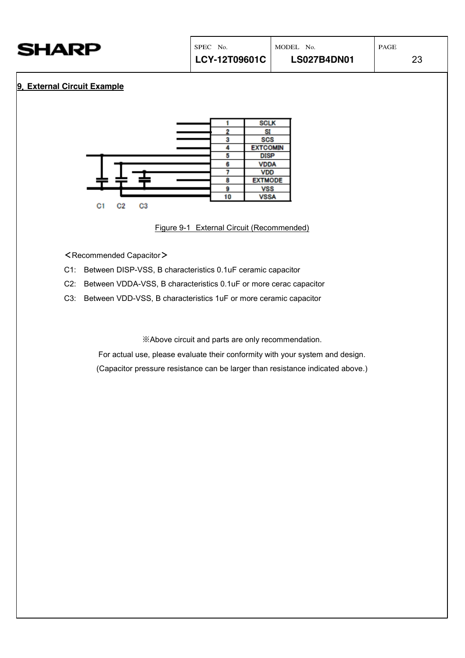<span id="page-24-0"></span>

| SHARP |  |
|-------|--|
|-------|--|

#### **9**.**External Circuit Example**

|                |    | <b>SCLK</b>     |
|----------------|----|-----------------|
|                |    | SI              |
|                |    | <b>SCS</b>      |
|                |    | <b>EXTCOMIN</b> |
|                | 5  | <b>DISP</b>     |
|                |    | <b>VDDA</b>     |
|                |    | <b>VDD</b>      |
|                |    | <b>EXTMODE</b>  |
|                |    | <b>VSS</b>      |
|                | 10 | <b>VSSA</b>     |
| C3<br>C1<br>C2 |    |                 |

Figure 9-1 External Circuit (Recommended)

- <Recommended Capacitor>
- C1: Between DISP-VSS, B characteristics 0.1uF ceramic capacitor
- C2: Between VDDA-VSS, B characteristics 0.1uF or more cerac capacitor
- C3: Between VDD-VSS, B characteristics 1uF or more ceramic capacitor

※Above circuit and parts are only recommendation.

For actual use, please evaluate their conformity with your system and design.

(Capacitor pressure resistance can be larger than resistance indicated above.)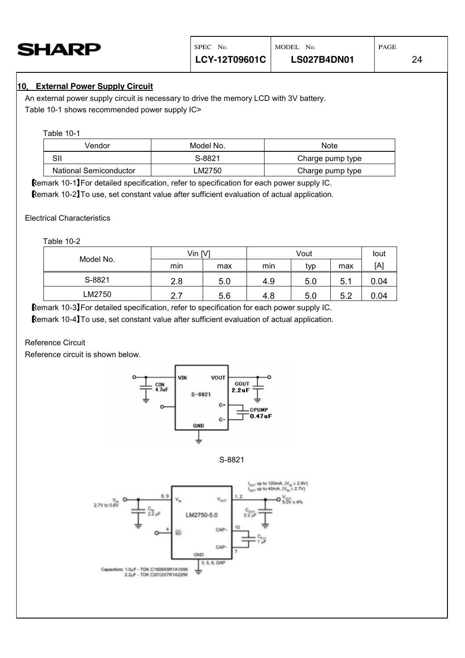<span id="page-25-0"></span>

#### **10**.**External Power Supply Circuit**

An external power supply circuit is necessary to drive the memory LCD with 3V battery. Table 10-1 shows recommended power supply IC>

#### Table 10-1

| Vendor                        | Model No. | <b>Note</b>      |
|-------------------------------|-----------|------------------|
| SII                           | S-8821    | Charge pump type |
| <b>National Semiconductor</b> | LM2750    | Charge pump type |

【Remark 10-1】For detailed specification, refer to specification for each power supply IC.

【Remark 10-2】To use, set constant value after sufficient evaluation of actual application.

Electrical Characteristics

Table 10-2

| Model No. | $V$ in $[V]$ |     |     | Vout |     | lout |
|-----------|--------------|-----|-----|------|-----|------|
|           | min          | max | min | typ  | max | [A]  |
| S-8821    | 2.8          | 5.0 | 4.9 | 5.0  | 5.1 | 0.04 |
| LM2750    | 2.7          | 5.6 | 4.8 | 5.0  | 5.2 | 0.04 |

【Remark 10-3】For detailed specification, refer to specification for each power supply IC.

【Remark 10-4】To use, set constant value after sufficient evaluation of actual application.

#### Reference Circuit

Reference circuit is shown below.





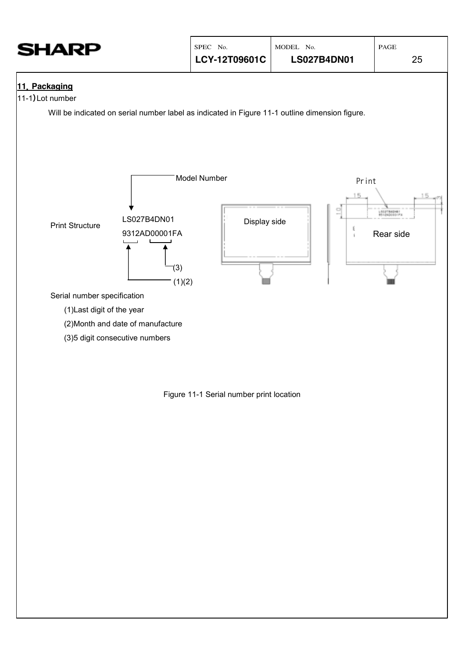<span id="page-26-0"></span>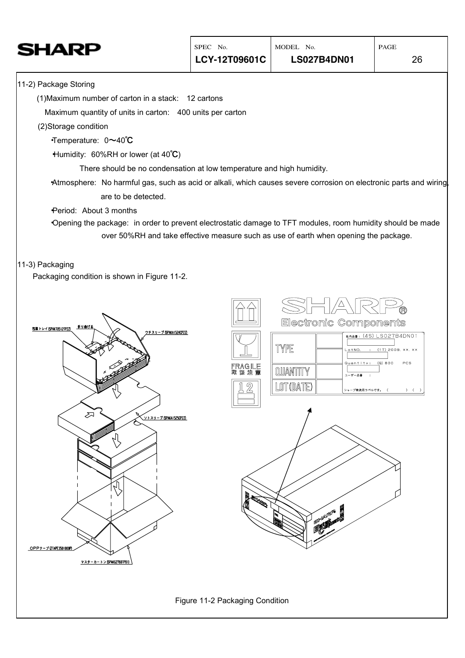| HARP                                                                                                             | SPEC No.                                                              | MODEL No.                                                                            | PAGE                   |
|------------------------------------------------------------------------------------------------------------------|-----------------------------------------------------------------------|--------------------------------------------------------------------------------------|------------------------|
|                                                                                                                  | LCY-12T09601C                                                         | <b>LS027B4DN01</b>                                                                   | 26                     |
| 11-2) Package Storing                                                                                            |                                                                       |                                                                                      |                        |
| (1) Maximum number of carton in a stack: 12 cartons                                                              |                                                                       |                                                                                      |                        |
| Maximum quantity of units in carton: 400 units per carton                                                        |                                                                       |                                                                                      |                        |
| (2)Storage condition                                                                                             |                                                                       |                                                                                      |                        |
| Temperature: 0~40°C                                                                                              |                                                                       |                                                                                      |                        |
| Humidity: 60%RH or lower (at 40°C)                                                                               |                                                                       |                                                                                      |                        |
|                                                                                                                  | There should be no condensation at low temperature and high humidity. |                                                                                      |                        |
| Atmosphere: No harmful gas, such as acid or alkali, which causes severe corrosion on electronic parts and wiring |                                                                       |                                                                                      |                        |
| are to be detected.                                                                                              |                                                                       |                                                                                      |                        |
| Period: About 3 months                                                                                           |                                                                       |                                                                                      |                        |
| Opening the package: in order to prevent electrostatic damage to TFT modules, room humidity should be made       |                                                                       |                                                                                      |                        |
|                                                                                                                  |                                                                       | over 50%RH and take effective measure such as use of earth when opening the package. |                        |
|                                                                                                                  |                                                                       |                                                                                      |                        |
| 11-3) Packaging<br>Packaging condition is shown in Figure 11-2.                                                  |                                                                       |                                                                                      |                        |
|                                                                                                                  |                                                                       |                                                                                      |                        |
|                                                                                                                  |                                                                       |                                                                                      |                        |
|                                                                                                                  |                                                                       |                                                                                      |                        |
| 折り曲げる<br>包装トレイ(SPAKT0512TPZZ)<br>ウチスリーブ (SPAKA1524CPZZ)                                                          |                                                                       | Electronic Components                                                                |                        |
|                                                                                                                  |                                                                       |                                                                                      | ####: (4S) LS027B4DN01 |
|                                                                                                                  |                                                                       | TYPE<br>LotNO.                                                                       | : (1T) 2009, xx, xx    |
|                                                                                                                  | FRAGILE<br>歐 協 注 意                                                    | Quantity: (Q) 800<br>QUANTITY<br>ユーザー品番                                              | PCS                    |
|                                                                                                                  | $\mathbb{Z}$                                                          | LOT (DATE)                                                                           |                        |
|                                                                                                                  | 凸                                                                     | シャープ物流用ラベルです。 (                                                                      | $\rightarrow$ ( )      |
| ⋝                                                                                                                |                                                                       |                                                                                      |                        |
| <u>ソトスリーブ(SPAKA1525CPZZ)</u>                                                                                     |                                                                       |                                                                                      |                        |
|                                                                                                                  |                                                                       |                                                                                      |                        |
|                                                                                                                  |                                                                       |                                                                                      |                        |
|                                                                                                                  |                                                                       |                                                                                      |                        |
|                                                                                                                  |                                                                       |                                                                                      |                        |
|                                                                                                                  |                                                                       |                                                                                      |                        |
|                                                                                                                  | <b>RANGER</b>                                                         |                                                                                      |                        |
|                                                                                                                  |                                                                       | SI-LAURES                                                                            |                        |
|                                                                                                                  |                                                                       |                                                                                      |                        |
| OPPテープ(ZIAPE3501000P)                                                                                            |                                                                       |                                                                                      |                        |
| マスターカートン(SPAKG2760TP01)                                                                                          |                                                                       |                                                                                      |                        |
|                                                                                                                  |                                                                       |                                                                                      |                        |
| Figure 11-2 Packaging Condition                                                                                  |                                                                       |                                                                                      |                        |
|                                                                                                                  |                                                                       |                                                                                      |                        |